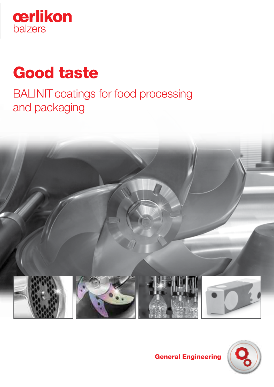

# Good taste

BALINIT coatings for food processing and packaging





# General Engineering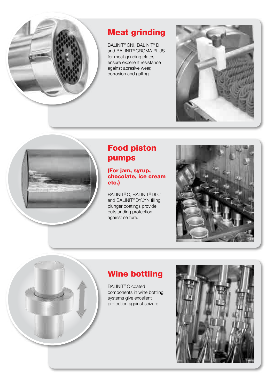

# Meat grinding

BALINIT® CNI, BALINIT® D and BALINIT® CROMA PLUS for meat grinding plates ensure excellent resistance against abrasive wear, corrosion and galling.





# Food piston pumps

#### (For jam, syrup, chocolate, ice cream etc.)

BALINIT® C, BALINIT® DLC and BALINIT® DYLYN filling plunger coatings provide outstanding protection against seizure.



# Wine bottling

BALINIT® C coated components in wine bottling systems give excellent protection against seizure.

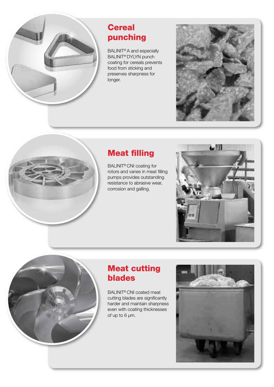

# **Cereal** punching

BALINIT® A and especially BALINIT® DYLYN punch coating for cereals prevents food from sticking and preserves sharpness for longer.





BALINIT® CNI coating for rotors and vanes in meat filling pumps provides outstanding resistance to abrasive wear, corrosion and galling.





# Meat cutting blades

BALINIT® CNI coated meat cutting blades are significantly harder and maintain sharpness even with coating thicknesses of up to 6 µm.

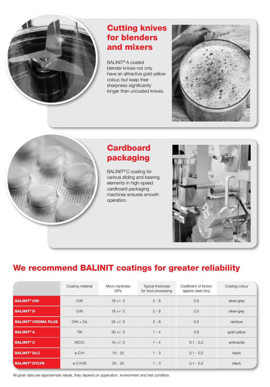

### Cutting knives for blenders and mixers

BALINIT® A coated blender knives not only have an attractive gold-yellow colour, but keep their sharpness significantly longer than uncoated knives.





# **Cardboard** packaging

BALINIT® C coating for various sliding and bearing elements in high-speed cardboard packaging machines ensures smooth operation.



# We recommend BALINIT coatings for greater reliability

|                                       | Coating material | Micro hardness<br>GPa | <b>Typical thickness</b><br>for food processing | Coefficient of friction<br>against steel (dry) | Coating colour |
|---------------------------------------|------------------|-----------------------|-------------------------------------------------|------------------------------------------------|----------------|
| <b>BALINIT<sup>®</sup> CNI</b>        | CrN              | $18 +/- 3$            | $2 - 8$                                         | 0.5                                            | silver-grey    |
| <b>BALINIT<sup>®</sup>D</b>           | CrN              | $18 + - 3$            | $2 - 8$                                         | 0.5                                            | silver-grey    |
| <b>BALINIT<sup>®</sup> CROMA PLUS</b> | $CrN + Ox$       | $25 + -3$             | $2 - 8$                                         | 0.5                                            | rainbow        |
| <b>BALINIT<sup>®</sup> A</b>          | TiN              | $30 +/- 3$            | $1 - 4$                                         | 0.6                                            | gold-yellow    |
| <b>BALINIT<sup>®</sup> C</b>          | WC/C             | $10 +/- 3$            | $1 - 4$                                         | $0.1 - 0.2$                                    | anthracite     |
| <b>BALINIT<sup>®</sup> DLC</b>        | a-C:H            | $15 - 25$             | $1 - 3$                                         | $0.1 - 0.2$                                    | black          |
| <b>BALINIT<sup>®</sup> DYLYN</b>      | a-C:H:Si         | $20 - 25$             | $1 - 3$                                         | $0.1 - 0.2$                                    | black          |

All given data are approximate values, they depend on application, environment and test condition.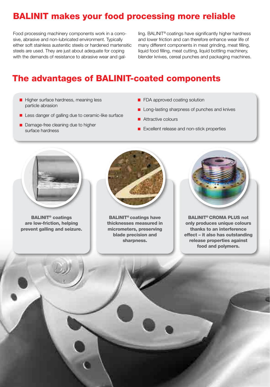# BALINIT makes your food processing more reliable

Food processing machinery components work in a corrosive, abrasive and non-lubricated environment. Typically either soft stainless austenitic steels or hardened martensitic steels are used. They are just about adequate for coping with the demands of resistance to abrasive wear and gal-

ling. BALINIT® coatings have significantly higher hardness and lower friction and can therefore enhance wear life of many different components in meat grinding, meat filling, liquid food filling, meat cutting, liquid bottling machinery, blender knives, cereal punches and packaging machines.

## The advantages of BALINIT-coated components

- Higher surface hardness, meaning less particle abrasion
- Less danger of galling due to ceramic-like surface
- Damage-free cleaning due to higher surface hardness
- **FDA approved coating solution**
- **Long-lasting sharpness of punches and knives**
- **Attractive colours**
- Excellent release and non-stick properties



BALINIT® coatings are low-friction, helping prevent galling and seizure.



BALINIT® coatings have thicknesses measured in micrometers, preserving blade precision and sharpness.



BALINIT® CROMA PLUS not only produces unique colours thanks to an interference effect – it also has outstanding release properties against food and polymers.